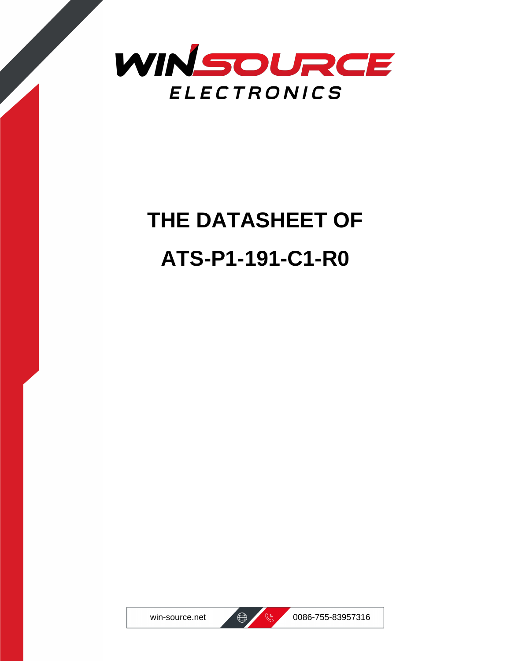

# **THE DATASHEET OF ATS-P1-191-C1-R0**





win-source.net  $\bigoplus$   $\bigotimes$  0086-755-83957316